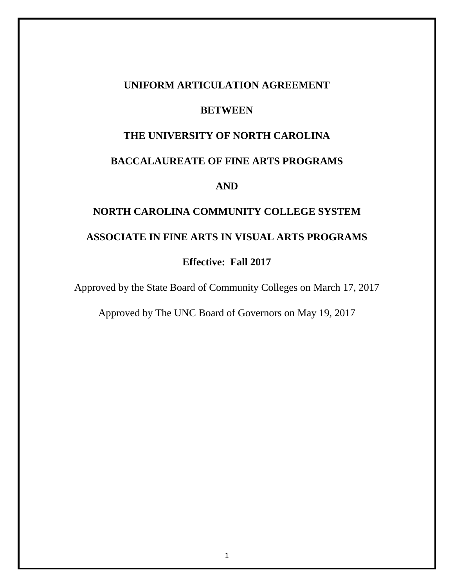## **UNIFORM ARTICULATION AGREEMENT**

## **BETWEEN**

# **THE UNIVERSITY OF NORTH CAROLINA**

# **BACCALAUREATE OF FINE ARTS PROGRAMS**

## **AND**

# **NORTH CAROLINA COMMUNITY COLLEGE SYSTEM ASSOCIATE IN FINE ARTS IN VISUAL ARTS PROGRAMS**

# **Effective: Fall 2017**

Approved by the State Board of Community Colleges on March 17, 2017

Approved by The UNC Board of Governors on May 19, 2017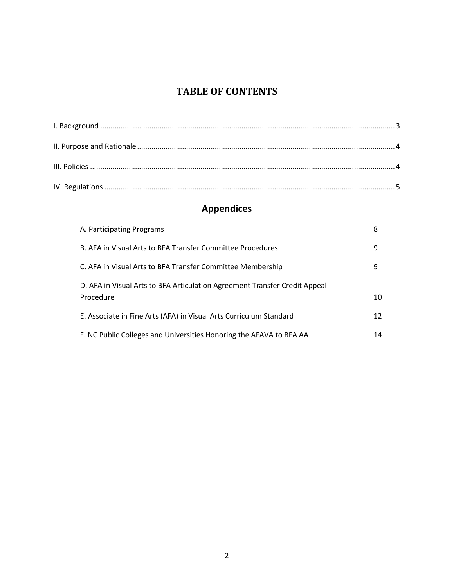# **TABLE OF CONTENTS**

# **Appendices**

<span id="page-1-0"></span>

| A. Participating Programs                                                               | 8  |
|-----------------------------------------------------------------------------------------|----|
| B. AFA in Visual Arts to BFA Transfer Committee Procedures                              | 9  |
| C. AFA in Visual Arts to BFA Transfer Committee Membership                              | 9  |
| D. AFA in Visual Arts to BFA Articulation Agreement Transfer Credit Appeal<br>Procedure | 10 |
| E. Associate in Fine Arts (AFA) in Visual Arts Curriculum Standard                      | 12 |
| F. NC Public Colleges and Universities Honoring the AFAVA to BFA AA                     | 14 |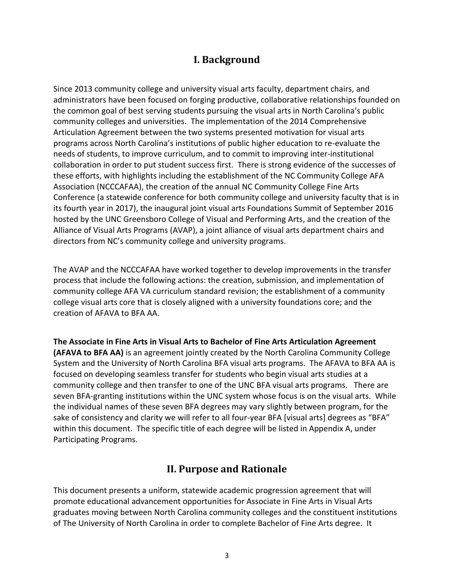# **I. Background**

Since 2013 community college and university visual arts faculty, department chairs, and administrators have been focused on forging productive, collaborative relationships founded on the common goal of best serving students pursuing the visual arts in North Carolina's public community colleges and universities. The implementation of the 2014 Comprehensive Articulation Agreement between the two systems presented motivation for visual arts programs across North Carolina's institutions of public higher education to re-evaluate the needs of students, to improve curriculum, and to commit to improving inter-institutional collaboration in order to put student success first. There is strong evidence of the successes of these efforts, with highlights including the establishment of the NC Community College AFA Association (NCCCAFAA), the creation of the annual NC Community College Fine Arts Conference (a statewide conference for both community college and university faculty that is in its fourth year in 2017), the inaugural joint visual arts Foundations Summit of September 2016 hosted by the UNC Greensboro College of Visual and Performing Arts, and the creation of the Alliance of Visual Arts Programs (AVAP), a joint alliance of visual arts department chairs and directors from NC's community college and university programs.

The AVAP and the NCCCAFAA have worked together to develop improvements in the transfer process that include the following actions: the creation, submission, and implementation of community college AFA VA curriculum standard revision; the establishment of a community college visual arts core that is closely aligned with a university foundations core; and the creation of AFAVA to BFA AA.

**The Associate in Fine Arts in Visual Arts to Bachelor of Fine Arts Articulation Agreement (AFAVA to BFA AA)** is an agreement jointly created by the North Carolina Community College System and the University of North Carolina BFA visual arts programs. The AFAVA to BFA AA is focused on developing seamless transfer for students who begin visual arts studies at a community college and then transfer to one of the UNC BFA visual arts programs. There are seven BFA-granting institutions within the UNC system whose focus is on the visual arts. While the individual names of these seven BFA degrees may vary slightly between program, for the sake of consistency and clarity we will refer to all four-year BFA [visual arts] degrees as "BFA" within this document. The specific title of each degree will be listed in Appendix A, under Participating Programs.

# **II. Purpose and Rationale**

<span id="page-2-0"></span>This document presents a uniform, statewide academic progression agreement that will promote educational advancement opportunities for Associate in Fine Arts in Visual Arts graduates moving between North Carolina community colleges and the constituent institutions of The University of North Carolina in order to complete Bachelor of Fine Arts degree. It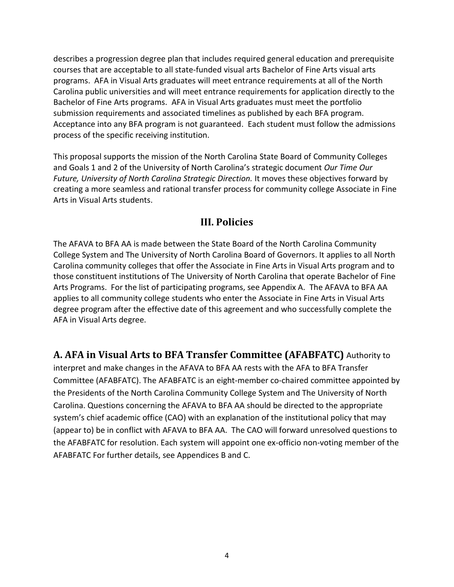describes a progression degree plan that includes required general education and prerequisite courses that are acceptable to all state-funded visual arts Bachelor of Fine Arts visual arts programs. AFA in Visual Arts graduates will meet entrance requirements at all of the North Carolina public universities and will meet entrance requirements for application directly to the Bachelor of Fine Arts programs. AFA in Visual Arts graduates must meet the portfolio submission requirements and associated timelines as published by each BFA program. Acceptance into any BFA program is not guaranteed. Each student must follow the admissions process of the specific receiving institution.

This proposal supports the mission of the North Carolina State Board of Community Colleges and Goals 1 and 2 of the University of North Carolina's strategic document *Our Time Our Future, University of North Carolina Strategic Direction.* It moves these objectives forward by creating a more seamless and rational transfer process for community college Associate in Fine Arts in Visual Arts students.

## **III. Policies**

<span id="page-3-0"></span>The AFAVA to BFA AA is made between the State Board of the North Carolina Community College System and The University of North Carolina Board of Governors. It applies to all North Carolina community colleges that offer the Associate in Fine Arts in Visual Arts program and to those constituent institutions of The University of North Carolina that operate Bachelor of Fine Arts Programs. For the list of participating programs, see Appendix A. The AFAVA to BFA AA applies to all community college students who enter the Associate in Fine Arts in Visual Arts degree program after the effective date of this agreement and who successfully complete the AFA in Visual Arts degree.

## **A. AFA in Visual Arts to BFA Transfer Committee (AFABFATC)** Authority to

interpret and make changes in the AFAVA to BFA AA rests with the AFA to BFA Transfer Committee (AFABFATC). The AFABFATC is an eight-member co-chaired committee appointed by the Presidents of the North Carolina Community College System and The University of North Carolina. Questions concerning the AFAVA to BFA AA should be directed to the appropriate system's chief academic office (CAO) with an explanation of the institutional policy that may (appear to) be in conflict with AFAVA to BFA AA. The CAO will forward unresolved questions to the AFABFATC for resolution. Each system will appoint one ex-officio non-voting member of the AFABFATC For further details, see Appendices B and C.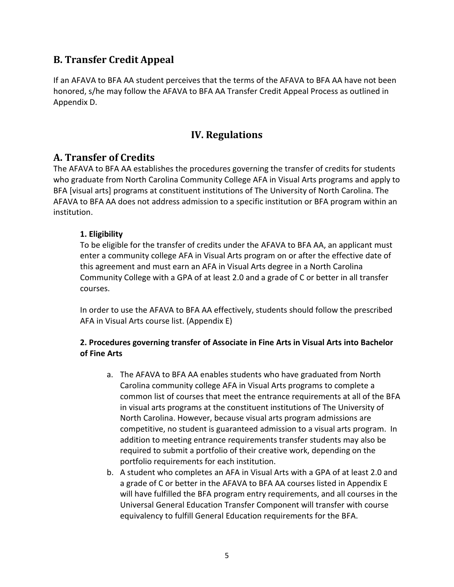# **B. Transfer Credit Appeal**

If an AFAVA to BFA AA student perceives that the terms of the AFAVA to BFA AA have not been honored, s/he may follow the AFAVA to BFA AA Transfer Credit Appeal Process as outlined in Appendix D.

## **IV. Regulations**

## <span id="page-4-0"></span>**A. Transfer of Credits**

The AFAVA to BFA AA establishes the procedures governing the transfer of credits for students who graduate from North Carolina Community College AFA in Visual Arts programs and apply to BFA [visual arts] programs at constituent institutions of The University of North Carolina. The AFAVA to BFA AA does not address admission to a specific institution or BFA program within an institution.

## **1. Eligibility**

To be eligible for the transfer of credits under the AFAVA to BFA AA, an applicant must enter a community college AFA in Visual Arts program on or after the effective date of this agreement and must earn an AFA in Visual Arts degree in a North Carolina Community College with a GPA of at least 2.0 and a grade of C or better in all transfer courses.

In order to use the AFAVA to BFA AA effectively, students should follow the prescribed AFA in Visual Arts course list. (Appendix E)

#### **2. Procedures governing transfer of Associate in Fine Arts in Visual Arts into Bachelor of Fine Arts**

- a. The AFAVA to BFA AA enables students who have graduated from North Carolina community college AFA in Visual Arts programs to complete a common list of courses that meet the entrance requirements at all of the BFA in visual arts programs at the constituent institutions of The University of North Carolina. However, because visual arts program admissions are competitive, no student is guaranteed admission to a visual arts program. In addition to meeting entrance requirements transfer students may also be required to submit a portfolio of their creative work, depending on the portfolio requirements for each institution.
- b. A student who completes an AFA in Visual Arts with a GPA of at least 2.0 and a grade of C or better in the AFAVA to BFA AA courses listed in Appendix E will have fulfilled the BFA program entry requirements, and all courses in the Universal General Education Transfer Component will transfer with course equivalency to fulfill General Education requirements for the BFA.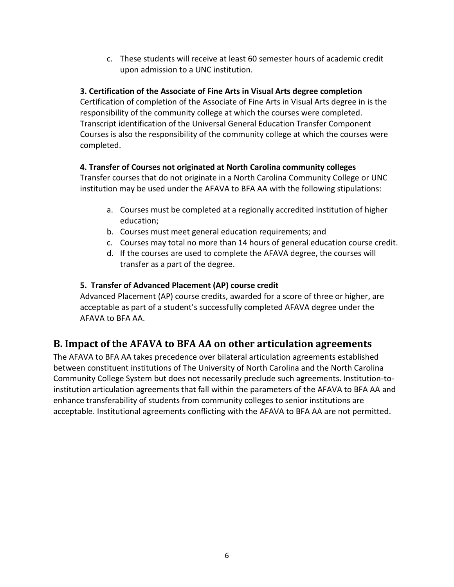c. These students will receive at least 60 semester hours of academic credit upon admission to a UNC institution.

## **3. Certification of the Associate of Fine Arts in Visual Arts degree completion**

Certification of completion of the Associate of Fine Arts in Visual Arts degree in is the responsibility of the community college at which the courses were completed. Transcript identification of the Universal General Education Transfer Component Courses is also the responsibility of the community college at which the courses were completed.

## **4. Transfer of Courses not originated at North Carolina community colleges**

Transfer courses that do not originate in a North Carolina Community College or UNC institution may be used under the AFAVA to BFA AA with the following stipulations:

- a. Courses must be completed at a regionally accredited institution of higher education;
- b. Courses must meet general education requirements; and
- c. Courses may total no more than 14 hours of general education course credit.
- d. If the courses are used to complete the AFAVA degree, the courses will transfer as a part of the degree.

## **5. Transfer of Advanced Placement (AP) course credit**

Advanced Placement (AP) course credits, awarded for a score of three or higher, are acceptable as part of a student's successfully completed AFAVA degree under the AFAVA to BFA AA.

# **B. Impact of the AFAVA to BFA AA on other articulation agreements**

The AFAVA to BFA AA takes precedence over bilateral articulation agreements established between constituent institutions of The University of North Carolina and the North Carolina Community College System but does not necessarily preclude such agreements. Institution-toinstitution articulation agreements that fall within the parameters of the AFAVA to BFA AA and enhance transferability of students from community colleges to senior institutions are acceptable. Institutional agreements conflicting with the AFAVA to BFA AA are not permitted.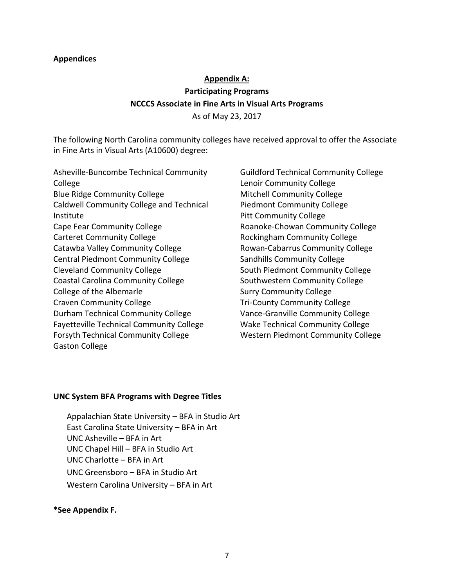#### **Appendices**

## **Appendix A: Participating Programs NCCCS Associate in Fine Arts in Visual Arts Programs** As of May 23, 2017

The following North Carolina community colleges have received approval to offer the Associate in Fine Arts in Visual Arts (A10600) degree:

Asheville-Buncombe Technical Community College Blue Ridge Community College Caldwell Community College and Technical Institute Cape Fear Community College Carteret Community College Catawba Valley Community College Central Piedmont Community College Cleveland Community College Coastal Carolina Community College College of the Albemarle Craven Community College Durham Technical Community College Fayetteville Technical Community College Forsyth Technical Community College Gaston College

Guildford Technical Community College Lenoir Community College Mitchell Community College Piedmont Community College Pitt Community College Roanoke-Chowan Community College Rockingham Community College Rowan-Cabarrus Community College Sandhills Community College South Piedmont Community College Southwestern Community College Surry Community College Tri-County Community College Vance-Granville Community College Wake Technical Community College Western Piedmont Community College

#### **UNC System BFA Programs with Degree Titles**

Appalachian State University – BFA in Studio Art East Carolina State University – BFA in Art UNC Asheville – BFA in Art UNC Chapel Hill – BFA in Studio Art UNC Charlotte – BFA in Art UNC Greensboro – BFA in Studio Art Western Carolina University – BFA in Art

#### **\*See Appendix F.**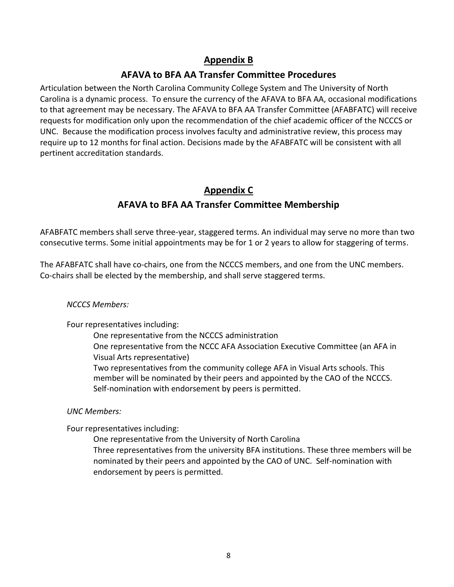## **Appendix B**

## **AFAVA to BFA AA Transfer Committee Procedures**

Articulation between the North Carolina Community College System and The University of North Carolina is a dynamic process. To ensure the currency of the AFAVA to BFA AA, occasional modifications to that agreement may be necessary. The AFAVA to BFA AA Transfer Committee (AFABFATC) will receive requests for modification only upon the recommendation of the chief academic officer of the NCCCS or UNC. Because the modification process involves faculty and administrative review, this process may require up to 12 months for final action. Decisions made by the AFABFATC will be consistent with all pertinent accreditation standards.

# **Appendix C AFAVA to BFA AA Transfer Committee Membership**

AFABFATC members shall serve three-year, staggered terms. An individual may serve no more than two consecutive terms. Some initial appointments may be for 1 or 2 years to allow for staggering of terms.

The AFABFATC shall have co-chairs, one from the NCCCS members, and one from the UNC members. Co-chairs shall be elected by the membership, and shall serve staggered terms.

#### *NCCCS Members:*

Four representatives including:

One representative from the NCCCS administration One representative from the NCCC AFA Association Executive Committee (an AFA in Visual Arts representative) Two representatives from the community college AFA in Visual Arts schools. This member will be nominated by their peers and appointed by the CAO of the NCCCS. Self-nomination with endorsement by peers is permitted.

#### *UNC Members:*

Four representatives including:

One representative from the University of North Carolina Three representatives from the university BFA institutions. These three members will be nominated by their peers and appointed by the CAO of UNC. Self-nomination with endorsement by peers is permitted.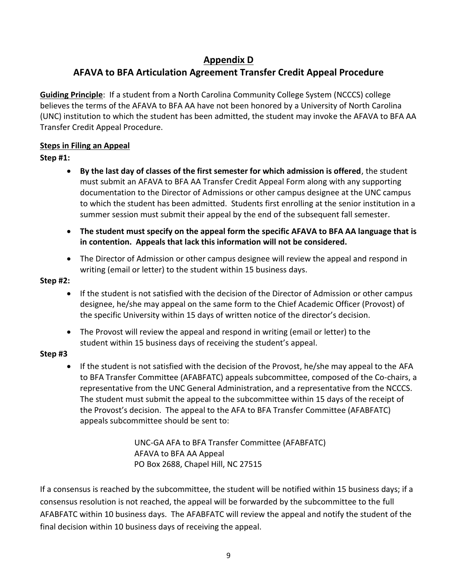# **Appendix D**

# **AFAVA to BFA Articulation Agreement Transfer Credit Appeal Procedure**

**Guiding Principle**: If a student from a North Carolina Community College System (NCCCS) college believes the terms of the AFAVA to BFA AA have not been honored by a University of North Carolina (UNC) institution to which the student has been admitted, the student may invoke the AFAVA to BFA AA Transfer Credit Appeal Procedure.

## **Steps in Filing an Appeal**

## **Step #1:**

- **By the last day of classes of the first semester for which admission is offered**, the student must submit an AFAVA to BFA AA Transfer Credit Appeal Form along with any supporting documentation to the Director of Admissions or other campus designee at the UNC campus to which the student has been admitted. Students first enrolling at the senior institution in a summer session must submit their appeal by the end of the subsequent fall semester.
- **The student must specify on the appeal form the specific AFAVA to BFA AA language that is in contention. Appeals that lack this information will not be considered.**
- The Director of Admission or other campus designee will review the appeal and respond in writing (email or letter) to the student within 15 business days.

#### **Step #2:**

- If the student is not satisfied with the decision of the Director of Admission or other campus designee, he/she may appeal on the same form to the Chief Academic Officer (Provost) of the specific University within 15 days of written notice of the director's decision.
- The Provost will review the appeal and respond in writing (email or letter) to the student within 15 business days of receiving the student's appeal.

#### **Step #3**

• If the student is not satisfied with the decision of the Provost, he/she may appeal to the AFA to BFA Transfer Committee (AFABFATC) appeals subcommittee, composed of the Co-chairs, a representative from the UNC General Administration, and a representative from the NCCCS. The student must submit the appeal to the subcommittee within 15 days of the receipt of the Provost's decision. The appeal to the AFA to BFA Transfer Committee (AFABFATC) appeals subcommittee should be sent to:

> UNC-GA AFA to BFA Transfer Committee (AFABFATC) AFAVA to BFA AA Appeal PO Box 2688, Chapel Hill, NC 27515

If a consensus is reached by the subcommittee, the student will be notified within 15 business days; if a consensus resolution is not reached, the appeal will be forwarded by the subcommittee to the full AFABFATC within 10 business days. The AFABFATC will review the appeal and notify the student of the final decision within 10 business days of receiving the appeal.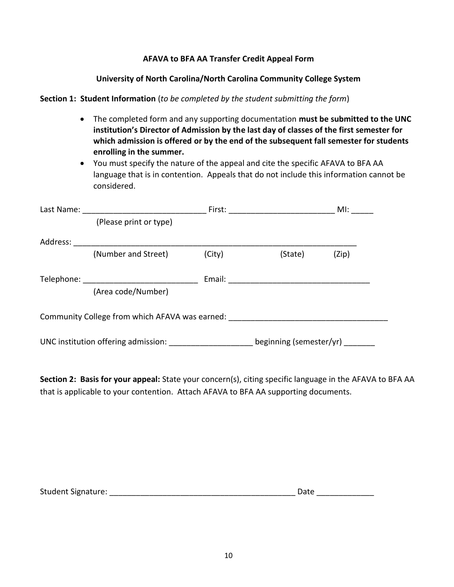#### **AFAVA to BFA AA Transfer Credit Appeal Form**

#### **University of North Carolina/North Carolina Community College System**

#### **Section 1: Student Information** (*to be completed by the student submitting the form*)

- The completed form and any supporting documentation **must be submitted to the UNC institution's Director of Admission by the last day of classes of the first semester for which admission is offered or by the end of the subsequent fall semester for students enrolling in the summer.**
- You must specify the nature of the appeal and cite the specific AFAVA to BFA AA language that is in contention. Appeals that do not include this information cannot be considered.

| Last Name: |                                                |        | First: ______________________ | MI:   |
|------------|------------------------------------------------|--------|-------------------------------|-------|
|            | (Please print or type)                         |        |                               |       |
| Address:   |                                                |        |                               |       |
|            | (Number and Street)                            | (City) | (State)                       | (Zip) |
|            |                                                |        |                               |       |
|            | (Area code/Number)                             |        |                               |       |
|            | Community College from which AFAVA was earned: |        |                               |       |
|            |                                                |        | beginning (semester/yr)       |       |

**Section 2: Basis for your appeal:** State your concern(s), citing specific language in the AFAVA to BFA AA that is applicable to your contention. Attach AFAVA to BFA AA supporting documents.

Student Signature: \_\_\_\_\_\_\_\_\_\_\_\_\_\_\_\_\_\_\_\_\_\_\_\_\_\_\_\_\_\_\_\_\_\_\_\_\_\_\_\_\_\_ Date \_\_\_\_\_\_\_\_\_\_\_\_\_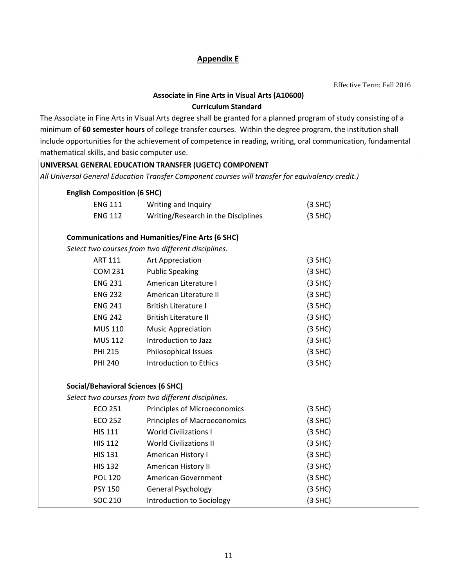#### **Appendix E**

Effective Term: Fall 2016

## **Associate in Fine Arts in Visual Arts (A10600) Curriculum Standard**

The Associate in Fine Arts in Visual Arts degree shall be granted for a planned program of study consisting of a minimum of **60 semester hours** of college transfer courses. Within the degree program, the institution shall include opportunities for the achievement of competence in reading, writing, oral communication, fundamental mathematical skills, and basic computer use.

| UNIVERSAL GENERAL EDUCATION TRANSFER (UGETC) COMPONENT                                            |                                                    |           |  |  |
|---------------------------------------------------------------------------------------------------|----------------------------------------------------|-----------|--|--|
| All Universal General Education Transfer Component courses will transfer for equivalency credit.) |                                                    |           |  |  |
| <b>English Composition (6 SHC)</b>                                                                |                                                    |           |  |  |
| <b>ENG 111</b>                                                                                    | Writing and Inquiry                                | $(3$ SHC) |  |  |
| <b>ENG 112</b>                                                                                    | Writing/Research in the Disciplines                | $(3$ SHC) |  |  |
| <b>Communications and Humanities/Fine Arts (6 SHC)</b>                                            |                                                    |           |  |  |
|                                                                                                   | Select two courses from two different disciplines. |           |  |  |
| <b>ART 111</b>                                                                                    | Art Appreciation                                   | $(3$ SHC) |  |  |
| <b>COM 231</b>                                                                                    | <b>Public Speaking</b>                             | $(3$ SHC) |  |  |
| <b>ENG 231</b>                                                                                    | American Literature I                              | $(3$ SHC) |  |  |
| <b>ENG 232</b>                                                                                    | American Literature II                             | $(3$ SHC) |  |  |
| <b>ENG 241</b>                                                                                    | <b>British Literature I</b>                        | $(3$ SHC) |  |  |
| <b>ENG 242</b>                                                                                    | <b>British Literature II</b>                       | $(3$ SHC) |  |  |
| <b>MUS 110</b>                                                                                    | <b>Music Appreciation</b>                          | $(3$ SHC) |  |  |
| <b>MUS 112</b>                                                                                    | Introduction to Jazz                               | $(3$ SHC) |  |  |
| <b>PHI 215</b>                                                                                    | Philosophical Issues                               | $(3$ SHC) |  |  |
| <b>PHI 240</b>                                                                                    | Introduction to Ethics                             | $(3$ SHC) |  |  |
| <b>Social/Behavioral Sciences (6 SHC)</b>                                                         |                                                    |           |  |  |
|                                                                                                   | Select two courses from two different disciplines. |           |  |  |
| <b>ECO 251</b>                                                                                    | Principles of Microeconomics                       | $(3$ SHC) |  |  |
| <b>ECO 252</b>                                                                                    | <b>Principles of Macroeconomics</b>                | $(3$ SHC) |  |  |
| <b>HIS 111</b>                                                                                    | <b>World Civilizations I</b>                       | $(3$ SHC) |  |  |
| <b>HIS 112</b>                                                                                    | <b>World Civilizations II</b>                      | $(3$ SHC) |  |  |
| <b>HIS 131</b>                                                                                    | American History I                                 | $(3$ SHC) |  |  |
| <b>HIS 132</b>                                                                                    | American History II                                | $(3$ SHC) |  |  |
| <b>POL 120</b>                                                                                    | American Government                                | $(3$ SHC) |  |  |
| <b>PSY 150</b>                                                                                    | <b>General Psychology</b>                          | $(3$ SHC) |  |  |
| <b>SOC 210</b>                                                                                    | Introduction to Sociology                          | $(3$ SHC) |  |  |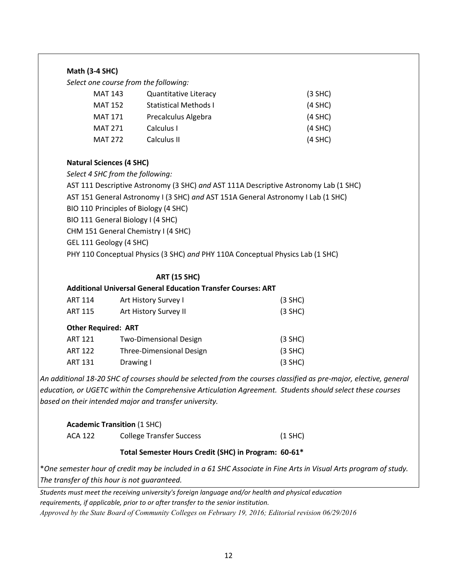#### **Math (3-4 SHC)**

*Select one course from the following:*

| MAT 143        | <b>Quantitative Literacy</b> | $(3$ SHC) |
|----------------|------------------------------|-----------|
| MAT 152        | <b>Statistical Methods I</b> | $(4$ SHC) |
| <b>MAT 171</b> | Precalculus Algebra          | $(4$ SHC) |
| <b>MAT 271</b> | Calculus I                   | $(4$ SHC) |
| <b>MAT 272</b> | Calculus II                  | $(4$ SHC) |

#### **Natural Sciences (4 SHC)**

*Select 4 SHC from the following:*

AST 111 Descriptive Astronomy (3 SHC) *and* AST 111A Descriptive Astronomy Lab (1 SHC) AST 151 General Astronomy I (3 SHC) *and* AST 151A General Astronomy I Lab (1 SHC) BIO 110 Principles of Biology (4 SHC) BIO 111 General Biology I (4 SHC) CHM 151 General Chemistry I (4 SHC) GEL 111 Geology (4 SHC) PHY 110 Conceptual Physics (3 SHC) *and* PHY 110A Conceptual Physics Lab (1 SHC)

#### **ART (15 SHC)**

#### **Additional Universal General Education Transfer Courses: ART**

| <b>ART 114</b><br><b>ART 115</b> | Art History Survey I<br>Art History Survey II | $(3$ SHC)<br>$(3$ SHC) |
|----------------------------------|-----------------------------------------------|------------------------|
| <b>Other Required: ART</b>       |                                               |                        |
| <b>ART 121</b>                   | <b>Two-Dimensional Design</b>                 | $(3$ SHC)              |
| <b>ART 122</b>                   | Three-Dimensional Design                      | $(3$ SHC)              |
| <b>ART 131</b>                   | Drawing I                                     | $(3$ SHC)              |

*An additional 18-20 SHC of courses should be selected from the courses classified as pre-major, elective, general education, or UGETC within the Comprehensive Articulation Agreement. Students should select these courses based on their intended major and transfer university.* 

#### **Academic Transition** (1 SHC)

ACA 122 College Transfer Success (1 SHC)

#### **Total Semester Hours Credit (SHC) in Program: 60-61\***

\**One semester hour of credit may be included in a 61 SHC Associate in Fine Arts in Visual Arts program of study. The transfer of this hour is not guaranteed.*

*Students must meet the receiving university's foreign language and/or health and physical education requirements, if applicable, prior to or after transfer to the senior institution. Approved by the State Board of Community Colleges on February 19, 2016; Editorial revision 06/29/2016*